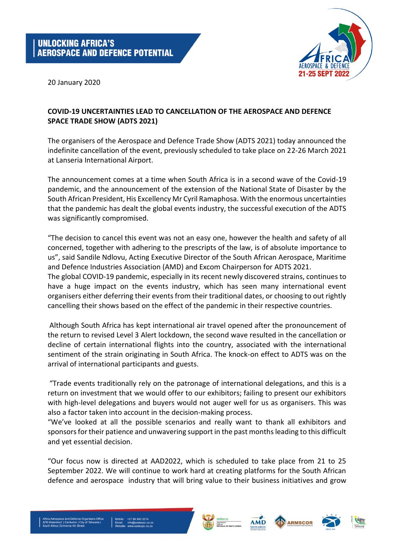

20 January 2020

## **COVID-19 UNCERTAINTIES LEAD TO CANCELLATION OF THE AEROSPACE AND DEFENCE SPACE TRADE SHOW (ADTS 2021)**

The organisers of the Aerospace and Defence Trade Show (ADTS 2021) today announced the indefinite cancellation of the event, previously scheduled to take place on 22-26 March 2021 at Lanseria International Airport.

The announcement comes at a time when South Africa is in a second wave of the Covid-19 pandemic, and the announcement of the extension of the National State of Disaster by the South African President, His Excellency Mr Cyril Ramaphosa. With the enormous uncertainties that the pandemic has dealt the global events industry, the successful execution of the ADTS was significantly compromised.

"The decision to cancel this event was not an easy one, however the health and safety of all concerned, together with adhering to the prescripts of the law, is of absolute importance to us", said Sandile Ndlovu, Acting Executive Director of the South African Aerospace, Maritime and Defence Industries Association (AMD) and Excom Chairperson for ADTS 2021. The global COVID-19 pandemic, especially in its recent newly discovered strains, continues to have a huge impact on the events industry, which has seen many international event organisers either deferring their events from their traditional dates, or choosing to out rightly

cancelling their shows based on the effect of the pandemic in their respective countries. Although South Africa has kept international air travel opened after the pronouncement of

the return to revised Level 3 Alert lockdown, the second wave resulted in the cancellation or decline of certain international flights into the country, associated with the international sentiment of the strain originating in South Africa. The knock-on effect to ADTS was on the arrival of international participants and guests.

"Trade events traditionally rely on the patronage of international delegations, and this is a return on investment that we would offer to our exhibitors; failing to present our exhibitors with high-level delegations and buyers would not auger well for us as organisers. This was also a factor taken into account in the decision-making process.

"We've looked at all the possible scenarios and really want to thank all exhibitors and sponsors for their patience and unwavering support in the past months leading to this difficult and yet essential decision.

"Our focus now is directed at AAD2022, which is scheduled to take place from 21 to 25 September 2022. We will continue to work hard at creating platforms for the South African defence and aerospace industry that will bring value to their business initiatives and grow